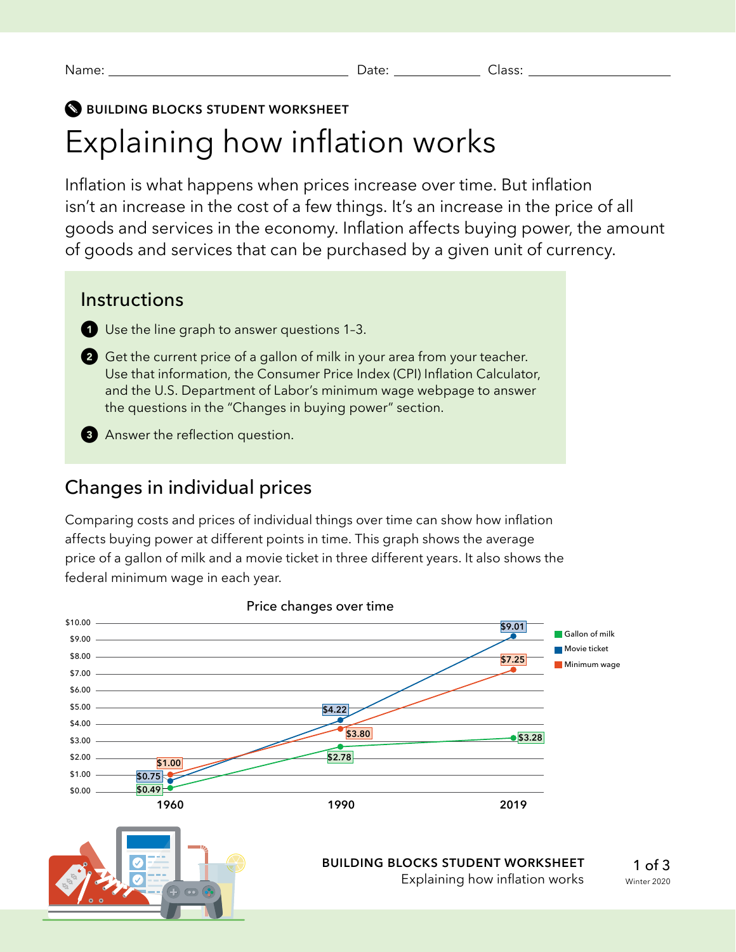#### **BUILDING BLOCKS STUDENT WORKSHEET**

# Explaining how inflation works

Inflation is what happens when prices increase over time. But inflation isn't an increase in the cost of a few things. It's an increase in the price of all goods and services in the economy. Inflation affects buying power, the amount of goods and services that can be purchased by a given unit of currency.

#### **Instructions**

Use the line graph to answer questions 1-3.

- **2** Get the current price of a gallon of milk in your area from your teacher. Use that information, the Consumer Price Index (CPI) Inflation Calculator, and the U.S. Department of Labor's minimum wage webpage to answer the questions in the "Changes in buying power" section.
- **8** Answer the reflection question.

## Changes in individual prices

Comparing costs and prices of individual things over time can show how inflation affects buying power at different points in time. This graph shows the average price of a gallon of milk and a movie ticket in three different years. It also shows the federal minimum wage in each year.

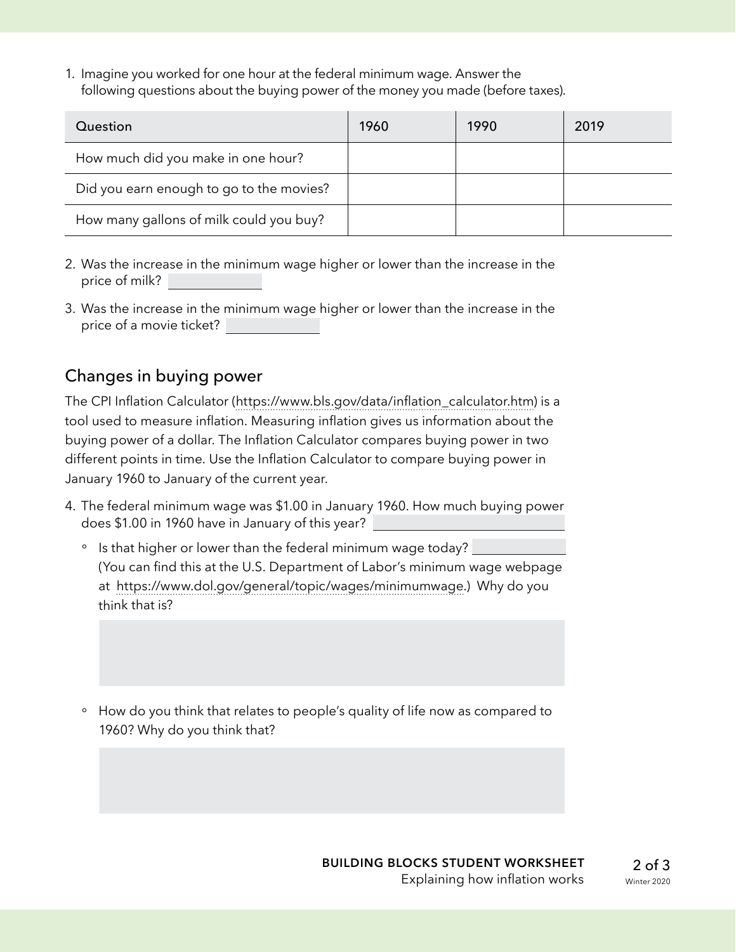1. Imagine you worked for one hour at the federal minimum wage. Answer the following questions about the buying power of the money you made (before taxes).

| Question                                 | 1960 | 1990 | 2019 |
|------------------------------------------|------|------|------|
| How much did you make in one hour?       |      |      |      |
| Did you earn enough to go to the movies? |      |      |      |
| How many gallons of milk could you buy?  |      |      |      |

- 2. Was the increase in the minimum wage higher or lower than the increase in the price of milk?
- 3. Was the increase in the minimum wage higher or lower than the increase in the price of a movie ticket?

### Changes in buying power

The CPI Inflation Calculator [\(https://www.bls.gov/data/inflation\\_calculator.htm\)](https://www.bls.gov/data/inflation_calculator.htm) is a tool used to measure inflation. Measuring inflation gives us information about the buying power of a dollar. The Inflation Calculator compares buying power in two different points in time. Use the Inflation Calculator to compare buying power in January 1960 to January of the current year.

- 4. The federal minimum wage was \$1.00 in January 1960. How much buying power does \$1.00 in 1960 have in January of this year?
	- Is that higher or lower than the federal minimum wage today? (You can find this at the U.S. Department of Labor's minimum wage webpage at [https://www.dol.gov/general/topic/wages/minimumwage.](https://www.dol.gov/general/topic/wages/minimumwage)) Why do you think that is?
	- ° How do you think that relates to people's quality of life now as compared to 1960? Why do you think that?